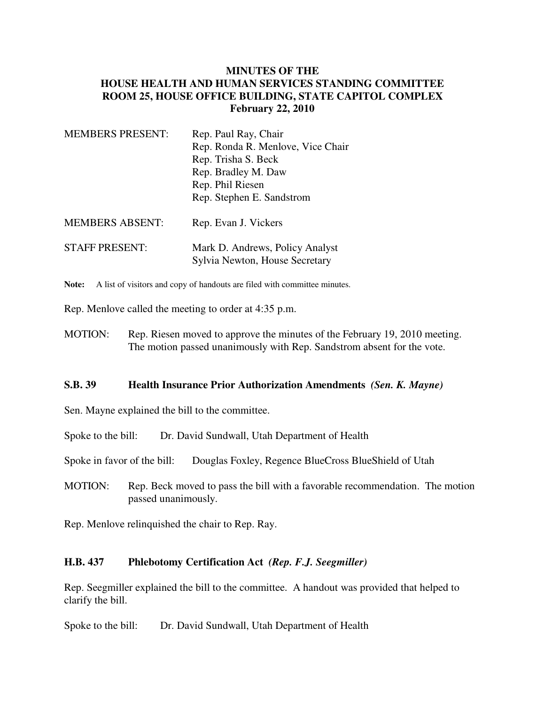## **MINUTES OF THE HOUSE HEALTH AND HUMAN SERVICES STANDING COMMITTEE ROOM 25, HOUSE OFFICE BUILDING, STATE CAPITOL COMPLEX February 22, 2010**

| <b>MEMBERS PRESENT:</b> | Rep. Paul Ray, Chair                                              |
|-------------------------|-------------------------------------------------------------------|
|                         | Rep. Ronda R. Menlove, Vice Chair                                 |
|                         | Rep. Trisha S. Beck                                               |
|                         | Rep. Bradley M. Daw                                               |
|                         | Rep. Phil Riesen                                                  |
|                         | Rep. Stephen E. Sandstrom                                         |
| <b>MEMBERS ABSENT:</b>  | Rep. Evan J. Vickers                                              |
| <b>STAFF PRESENT:</b>   | Mark D. Andrews, Policy Analyst<br>Sylvia Newton, House Secretary |

Note: A list of visitors and copy of handouts are filed with committee minutes.

Rep. Menlove called the meeting to order at 4:35 p.m.

MOTION: Rep. Riesen moved to approve the minutes of the February 19, 2010 meeting. The motion passed unanimously with Rep. Sandstrom absent for the vote.

## **S.B. 39 Health Insurance Prior Authorization Amendments** *(Sen. K. Mayne)*

Sen. Mayne explained the bill to the committee.

Spoke to the bill: Dr. David Sundwall, Utah Department of Health

Spoke in favor of the bill: Douglas Foxley, Regence BlueCross BlueShield of Utah

MOTION: Rep. Beck moved to pass the bill with a favorable recommendation. The motion passed unanimously.

Rep. Menlove relinquished the chair to Rep. Ray.

## **H.B. 437 Phlebotomy Certification Act** *(Rep. F.J. Seegmiller)*

Rep. Seegmiller explained the bill to the committee. A handout was provided that helped to clarify the bill.

Spoke to the bill: Dr. David Sundwall, Utah Department of Health